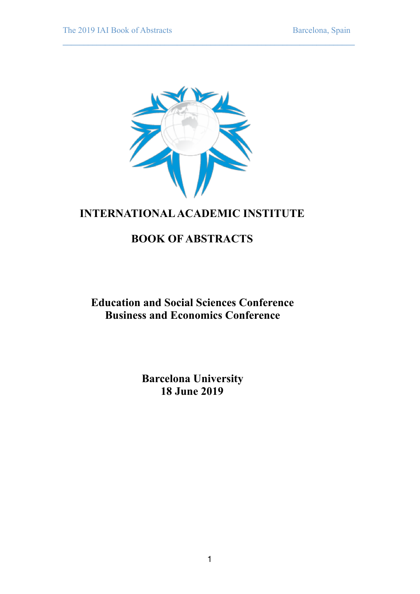

**\_\_\_\_\_\_\_\_\_\_\_\_\_\_\_\_\_\_\_\_\_\_\_\_\_\_\_\_\_\_\_\_\_\_\_\_\_\_\_\_\_\_\_\_\_\_\_\_\_\_\_\_\_\_\_\_\_\_\_\_\_\_\_\_\_\_\_\_\_** 

# **INTERNATIONAL ACADEMIC INSTITUTE**

# **BOOK OF ABSTRACTS**

**Education and Social Sciences Conference Business and Economics Conference** 

> **Barcelona University 18 June 2019**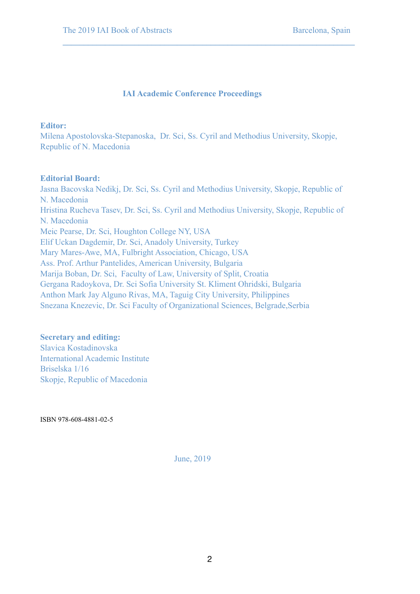# **IAI Academic Conference Proceedings**

**\_\_\_\_\_\_\_\_\_\_\_\_\_\_\_\_\_\_\_\_\_\_\_\_\_\_\_\_\_\_\_\_\_\_\_\_\_\_\_\_\_\_\_\_\_\_\_\_\_\_\_\_\_\_\_\_\_\_\_\_\_\_\_\_\_\_\_\_\_** 

### **Editor:**

Milena Apostolovska-Stepanoska, Dr. Sci, Ss. Cyril and Methodius University, Skopje, Republic of N. Macedonia

# **Editorial Board:**

Jasna Bacovska Nedikj, Dr. Sci, Ss. Cyril and Methodius University, Skopje, Republic of N. Macedonia Hristina Rucheva Tasev, Dr. Sci, Ss. Cyril and Methodius University, Skopje, Republic of N. Macedonia Meic Pearse, Dr. Sci, Houghton College NY, USA Elif Uckan Dagdemir, Dr. Sci, Anadoly University, Turkey Mary Mares-Awe, MA, Fulbright Association, Chicago, USA Ass. Prof. Arthur Pantelides, American University, Bulgaria Marija Boban, Dr. Sci, Faculty of Law, University of Split, Croatia Gergana Radoykova, Dr. Sci Sofia University St. Kliment Ohridski, Bulgaria Anthon Mark Jay Alguno Rivas, MA, Taguig City University, Philippines Snezana Knezevic, Dr. Sci Faculty of Organizational Sciences, Belgrade,Serbia

# **Secretary and editing:**

Slavica Kostadinovska International Academic Institute Briselska 1/16 Skopje, Republic of Macedonia

ISBN 978-608-4881-02-5

June, 2019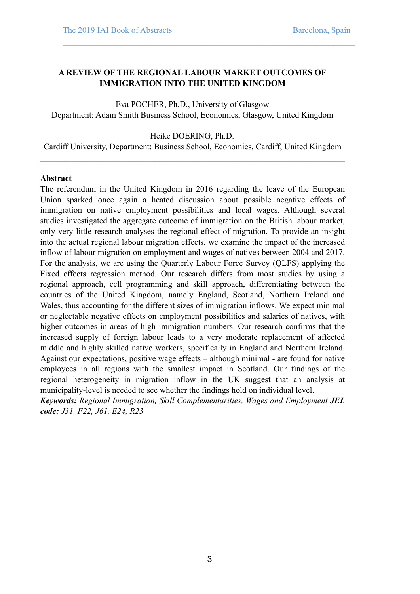# **A REVIEW OF THE REGIONAL LABOUR MARKET OUTCOMES OF IMMIGRATION INTO THE UNITED KINGDOM**

**\_\_\_\_\_\_\_\_\_\_\_\_\_\_\_\_\_\_\_\_\_\_\_\_\_\_\_\_\_\_\_\_\_\_\_\_\_\_\_\_\_\_\_\_\_\_\_\_\_\_\_\_\_\_\_\_\_\_\_\_\_\_\_\_\_\_\_\_\_** 

Eva POCHER, Ph.D., University of Glasgow Department: Adam Smith Business School, Economics, Glasgow, United Kingdom

### Heike DOERING, Ph.D.

Cardiff University, Department: Business School, Economics, Cardiff, United Kingdom **\_\_\_\_\_\_\_\_\_\_\_\_\_\_\_\_\_\_\_\_\_\_\_\_\_\_\_\_\_\_\_\_\_\_\_\_\_\_\_\_\_\_\_\_\_\_\_\_\_\_\_\_\_\_\_\_\_\_\_\_\_\_\_\_\_\_\_\_\_\_\_\_** 

#### **Abstract**

The referendum in the United Kingdom in 2016 regarding the leave of the European Union sparked once again a heated discussion about possible negative effects of immigration on native employment possibilities and local wages. Although several studies investigated the aggregate outcome of immigration on the British labour market, only very little research analyses the regional effect of migration. To provide an insight into the actual regional labour migration effects, we examine the impact of the increased inflow of labour migration on employment and wages of natives between 2004 and 2017. For the analysis, we are using the Quarterly Labour Force Survey (QLFS) applying the Fixed effects regression method. Our research differs from most studies by using a regional approach, cell programming and skill approach, differentiating between the countries of the United Kingdom, namely England, Scotland, Northern Ireland and Wales, thus accounting for the different sizes of immigration inflows. We expect minimal or neglectable negative effects on employment possibilities and salaries of natives, with higher outcomes in areas of high immigration numbers. Our research confirms that the increased supply of foreign labour leads to a very moderate replacement of affected middle and highly skilled native workers, specifically in England and Northern Ireland. Against our expectations, positive wage effects – although minimal - are found for native employees in all regions with the smallest impact in Scotland. Our findings of the regional heterogeneity in migration inflow in the UK suggest that an analysis at municipality-level is needed to see whether the findings hold on individual level.

*Keywords: Regional Immigration, Skill Complementarities, Wages and Employment JEL code: J31, F22, J61, E24, R23*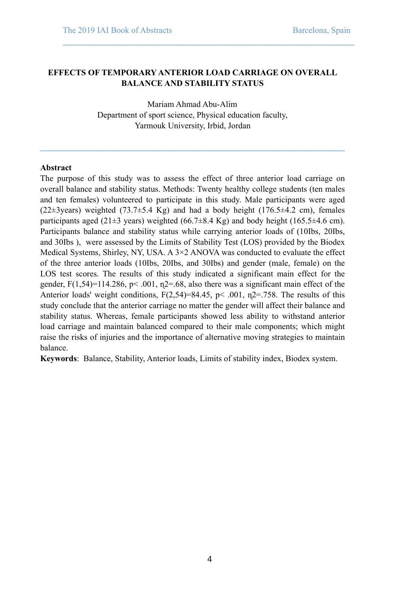### **EFFECTS OF TEMPORARY ANTERIOR LOAD CARRIAGE ON OVERALL BALANCE AND STABILITY STATUS**

**\_\_\_\_\_\_\_\_\_\_\_\_\_\_\_\_\_\_\_\_\_\_\_\_\_\_\_\_\_\_\_\_\_\_\_\_\_\_\_\_\_\_\_\_\_\_\_\_\_\_\_\_\_\_\_\_\_\_\_\_\_\_\_\_\_\_\_\_\_** 

Mariam Ahmad Abu-Alim Department of sport science, Physical education faculty, Yarmouk University, Irbid, Jordan

**\_\_\_\_\_\_\_\_\_\_\_\_\_\_\_\_\_\_\_\_\_\_\_\_\_\_\_\_\_\_\_\_\_\_\_\_\_\_\_\_\_\_\_\_\_\_\_\_\_\_\_\_\_\_\_\_\_\_\_\_\_\_\_\_\_\_\_\_\_\_\_\_** 

#### **Abstract**

The purpose of this study was to assess the effect of three anterior load carriage on overall balance and stability status. Methods: Twenty healthy college students (ten males and ten females) volunteered to participate in this study. Male participants were aged (22 $\pm$ 3years) weighted (73.7 $\pm$ 5.4 Kg) and had a body height (176.5 $\pm$ 4.2 cm), females participants aged (21 $\pm$ 3 years) weighted (66.7 $\pm$ 8.4 Kg) and body height (165.5 $\pm$ 4.6 cm). Participants balance and stability status while carrying anterior loads of (10Ibs, 20Ibs, and 30Ibs ), were assessed by the Limits of Stability Test (LOS) provided by the Biodex Medical Systems, Shirley, NY, USA. A 3×2 ANOVA was conducted to evaluate the effect of the three anterior loads (10Ibs, 20Ibs, and 30Ibs) and gender (male, female) on the LOS test scores. The results of this study indicated a significant main effect for the gender,  $F(1,54)=114.286$ ,  $p< .001$ ,  $n2=.68$ , also there was a significant main effect of the Anterior loads' weight conditions,  $F(2,54)=84.45$ ,  $p< .001$ ,  $n2=.758$ . The results of this study conclude that the anterior carriage no matter the gender will affect their balance and stability status. Whereas, female participants showed less ability to withstand anterior load carriage and maintain balanced compared to their male components; which might raise the risks of injuries and the importance of alternative moving strategies to maintain balance.

**Keywords**: Balance, Stability, Anterior loads, Limits of stability index, Biodex system.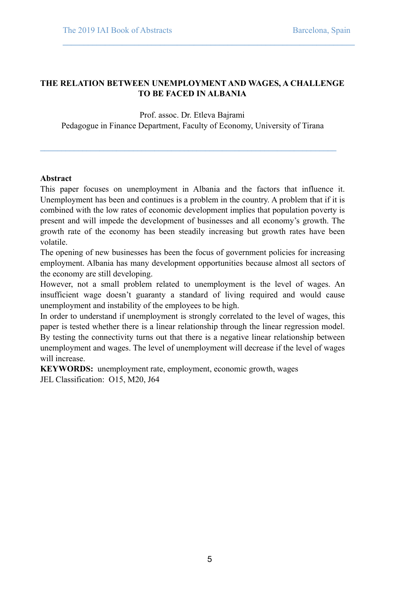# **THE RELATION BETWEEN UNEMPLOYMENT AND WAGES, A CHALLENGE TO BE FACED IN ALBANIA**

**\_\_\_\_\_\_\_\_\_\_\_\_\_\_\_\_\_\_\_\_\_\_\_\_\_\_\_\_\_\_\_\_\_\_\_\_\_\_\_\_\_\_\_\_\_\_\_\_\_\_\_\_\_\_\_\_\_\_\_\_\_\_\_\_\_\_\_\_\_** 

Prof. assoc. Dr. Etleva Bajrami Pedagogue in Finance Department, Faculty of Economy, University of Tirana

**\_\_\_\_\_\_\_\_\_\_\_\_\_\_\_\_\_\_\_\_\_\_\_\_\_\_\_\_\_\_\_\_\_\_\_\_\_\_\_\_\_\_\_\_\_\_\_\_\_\_\_\_\_\_\_\_\_\_\_\_\_\_\_\_\_\_\_\_\_\_** 

### **Abstract**

This paper focuses on unemployment in Albania and the factors that influence it. Unemployment has been and continues is a problem in the country. A problem that if it is combined with the low rates of economic development implies that population poverty is present and will impede the development of businesses and all economy's growth. The growth rate of the economy has been steadily increasing but growth rates have been volatile.

The opening of new businesses has been the focus of government policies for increasing employment. Albania has many development opportunities because almost all sectors of the economy are still developing.

However, not a small problem related to unemployment is the level of wages. An insufficient wage doesn't guaranty a standard of living required and would cause unemployment and instability of the employees to be high.

In order to understand if unemployment is strongly correlated to the level of wages, this paper is tested whether there is a linear relationship through the linear regression model. By testing the connectivity turns out that there is a negative linear relationship between unemployment and wages. The level of unemployment will decrease if the level of wages will increase.

**KEYWORDS:** unemployment rate, employment, economic growth, wages JEL Classification: O15, M20, J64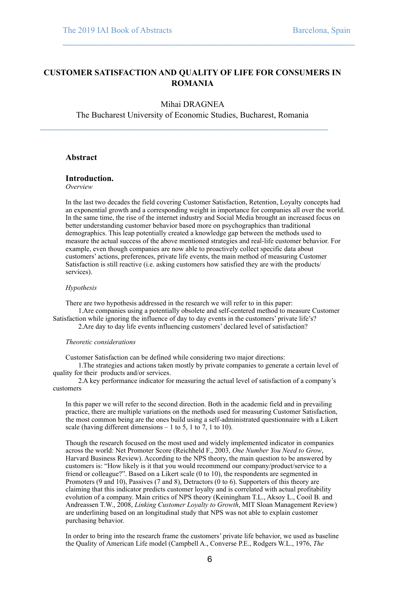### **CUSTOMER SATISFACTION AND QUALITY OF LIFE FOR CONSUMERS IN ROMANIA**

**\_\_\_\_\_\_\_\_\_\_\_\_\_\_\_\_\_\_\_\_\_\_\_\_\_\_\_\_\_\_\_\_\_\_\_\_\_\_\_\_\_\_\_\_\_\_\_\_\_\_\_\_\_\_\_\_\_\_\_\_\_\_\_\_\_\_\_\_\_** 

#### Mihai DRAGNEA

The Bucharest University of Economic Studies, Bucharest, Romania

**\_\_\_\_\_\_\_\_\_\_\_\_\_\_\_\_\_\_\_\_\_\_\_\_\_\_\_\_\_\_\_\_\_\_\_\_\_\_\_\_\_\_\_\_\_\_\_\_\_\_\_\_\_\_\_\_\_\_\_\_\_\_\_\_\_\_\_\_** 

#### **Abstract**

#### **Introduction.**

*Overview* 

In the last two decades the field covering Customer Satisfaction, Retention, Loyalty concepts had an exponential growth and a corresponding weight in importance for companies all over the world. In the same time, the rise of the internet industry and Social Media brought an increased focus on better understanding customer behavior based more on psychographics than traditional demographics. This leap potentially created a knowledge gap between the methods used to measure the actual success of the above mentioned strategies and real-life customer behavior. For example, even though companies are now able to proactively collect specific data about customers' actions, preferences, private life events, the main method of measuring Customer Satisfaction is still reactive (i.e. asking customers how satisfied they are with the products/ services).

#### *Hypothesis*

There are two hypothesis addressed in the research we will refer to in this paper: 1.Are companies using a potentially obsolete and self-centered method to measure Customer Satisfaction while ignoring the influence of day to day events in the customers' private life's?

2.Are day to day life events influencing customers' declared level of satisfaction?

#### *Theoretic considerations*

Customer Satisfaction can be defined while considering two major directions:

1.The strategies and actions taken mostly by private companies to generate a certain level of quality for their products and/or services.

2.A key performance indicator for measuring the actual level of satisfaction of a company's customers

In this paper we will refer to the second direction. Both in the academic field and in prevailing practice, there are multiple variations on the methods used for measuring Customer Satisfaction, the most common being are the ones build using a self-administrated questionnaire with a Likert scale (having different dimensions  $-1$  to 5, 1 to 7, 1 to 10).

Though the research focused on the most used and widely implemented indicator in companies across the world: Net Promoter Score (Reichheld F., 2003, *One Number You Need to Grow*, Harvard Business Review). According to the NPS theory, the main question to be answered by customers is: "How likely is it that you would recommend our company/product/service to a friend or colleague?". Based on a Likert scale (0 to 10), the respondents are segmented in Promoters (9 and 10), Passives (7 and 8), Detractors (0 to 6). Supporters of this theory are claiming that this indicator predicts customer loyalty and is correlated with actual profitability evolution of a company. Main critics of NPS theory (Keiningham T.L., Aksoy L., Cooil B. and Andreassen T.W., 2008, *Linking Customer Loyalty to Growth*, MIT Sloan Management Review) are underlining based on an longitudinal study that NPS was not able to explain customer purchasing behavior.

In order to bring into the research frame the customers' private life behavior, we used as baseline the Quality of American Life model (Campbell A., Converse P.E., Rodgers W.L., 1976, *The*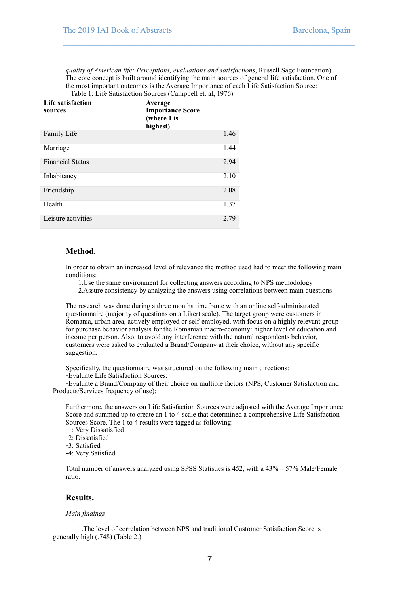*quality of American life: Perceptions, evaluations and satisfactions*, Russell Sage Foundation). The core concept is built around identifying the main sources of general life satisfaction. One of the most important outcomes is the Average Importance of each Life Satisfaction Source: Table 1: Life Satisfaction Sources (Campbell et. al, 1976)

**\_\_\_\_\_\_\_\_\_\_\_\_\_\_\_\_\_\_\_\_\_\_\_\_\_\_\_\_\_\_\_\_\_\_\_\_\_\_\_\_\_\_\_\_\_\_\_\_\_\_\_\_\_\_\_\_\_\_\_\_\_\_\_\_\_\_\_\_\_** 

| Life satisfaction<br>sources | Average<br><b>Importance Score</b><br>(where 1 is<br>highest) |  |
|------------------------------|---------------------------------------------------------------|--|
| Family Life                  | 1.46                                                          |  |
| Marriage                     | 1.44                                                          |  |
| <b>Financial Status</b>      | 2.94                                                          |  |
| Inhabitancy                  | 2.10                                                          |  |
| Friendship                   | 2.08                                                          |  |
| Health                       | 1.37                                                          |  |
| Leisure activities           | 2.79                                                          |  |

#### **Method.**

In order to obtain an increased level of relevance the method used had to meet the following main conditions:

1.Use the same environment for collecting answers according to NPS methodology

2.Assure consistency by analyzing the answers using correlations between main questions

The research was done during a three months timeframe with an online self-administrated questionnaire (majority of questions on a Likert scale). The target group were customers in Romania, urban area, actively employed or self-employed, with focus on a highly relevant group for purchase behavior analysis for the Romanian macro-economy: higher level of education and income per person. Also, to avoid any interference with the natural respondents behavior, customers were asked to evaluated a Brand/Company at their choice, without any specific suggestion.

Specifically, the questionnaire was structured on the following main directions:

-Evaluate Life Satisfaction Sources;

-Evaluate a Brand/Company of their choice on multiple factors (NPS, Customer Satisfaction and Products/Services frequency of use);

Furthermore, the answers on Life Satisfaction Sources were adjusted with the Average Importance Score and summed up to create an 1 to 4 scale that determined a comprehensive Life Satisfaction Sources Score. The 1 to 4 results were tagged as following:

- -1: Very Dissatisfied
- -2: Dissatisfied
- -3: Satisfied

-4: Very Satisfied

Total number of answers analyzed using SPSS Statistics is 452, with a 43% – 57% Male/Female ratio.

#### **Results.**

#### *Main findings*

1.The level of correlation between NPS and traditional Customer Satisfaction Score is generally high (.748) (Table 2.)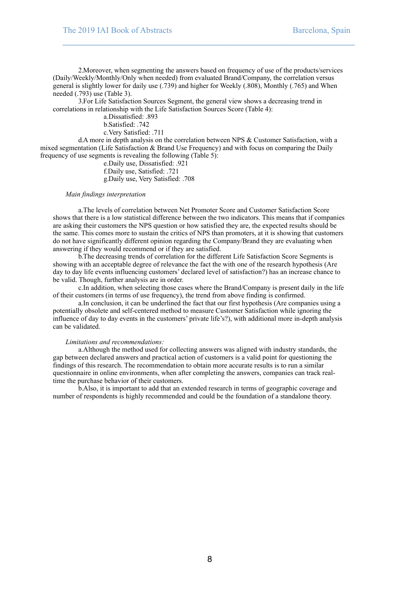2.Moreover, when segmenting the answers based on frequency of use of the products/services (Daily/Weekly/Monthly/Only when needed) from evaluated Brand/Company, the correlation versus general is slightly lower for daily use (.739) and higher for Weekly (.808), Monthly (.765) and When needed (.793) use (Table 3).

**\_\_\_\_\_\_\_\_\_\_\_\_\_\_\_\_\_\_\_\_\_\_\_\_\_\_\_\_\_\_\_\_\_\_\_\_\_\_\_\_\_\_\_\_\_\_\_\_\_\_\_\_\_\_\_\_\_\_\_\_\_\_\_\_\_\_\_\_\_** 

3.For Life Satisfaction Sources Segment, the general view shows a decreasing trend in correlations in relationship with the Life Satisfaction Sources Score (Table 4):

a.Dissatisfied: .893

b.Satisfied: .742

c.Very Satisfied: .711

d.A more in depth analysis on the correlation between NPS & Customer Satisfaction, with a mixed segmentation (Life Satisfaction & Brand Use Frequency) and with focus on comparing the Daily frequency of use segments is revealing the following (Table 5):

e.Daily use, Dissatisfied: .921 f.Daily use, Satisfied: .721 g.Daily use, Very Satisfied: .708

#### *Main findings interpretation*

a.The levels of correlation between Net Promoter Score and Customer Satisfaction Score shows that there is a low statistical difference between the two indicators. This means that if companies are asking their customers the NPS question or how satisfied they are, the expected results should be the same. This comes more to sustain the critics of NPS than promoters, at it is showing that customers do not have significantly different opinion regarding the Company/Brand they are evaluating when answering if they would recommend or if they are satisfied.

b.The decreasing trends of correlation for the different Life Satisfaction Score Segments is showing with an acceptable degree of relevance the fact the with one of the research hypothesis (Are day to day life events influencing customers' declared level of satisfaction?) has an increase chance to be valid. Though, further analysis are in order.

c.In addition, when selecting those cases where the Brand/Company is present daily in the life of their customers (in terms of use frequency), the trend from above finding is confirmed.

a.In conclusion, it can be underlined the fact that our first hypothesis (Are companies using a potentially obsolete and self-centered method to measure Customer Satisfaction while ignoring the influence of day to day events in the customers' private life's?), with additional more in-depth analysis can be validated.

#### *Limitations and recommendations:*

a.Although the method used for collecting answers was aligned with industry standards, the gap between declared answers and practical action of customers is a valid point for questioning the findings of this research. The recommendation to obtain more accurate results is to run a similar questionnaire in online environments, when after completing the answers, companies can track realtime the purchase behavior of their customers.

b.Also, it is important to add that an extended research in terms of geographic coverage and number of respondents is highly recommended and could be the foundation of a standalone theory.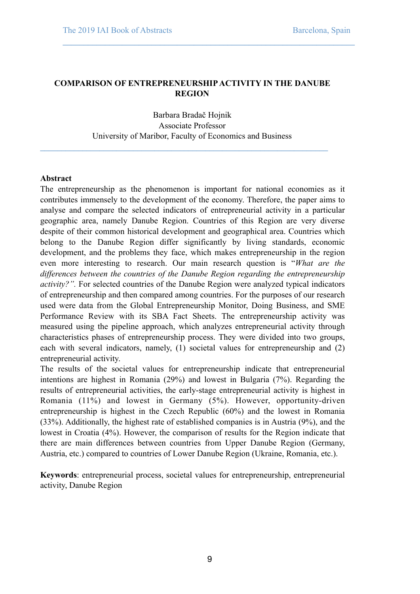# **COMPARISON OF ENTREPRENEURSHIP ACTIVITY IN THE DANUBE REGION**

**\_\_\_\_\_\_\_\_\_\_\_\_\_\_\_\_\_\_\_\_\_\_\_\_\_\_\_\_\_\_\_\_\_\_\_\_\_\_\_\_\_\_\_\_\_\_\_\_\_\_\_\_\_\_\_\_\_\_\_\_\_\_\_\_\_\_\_\_\_** 

Barbara Bradač Hojnik Associate Professor University of Maribor, Faculty of Economics and Business

**\_\_\_\_\_\_\_\_\_\_\_\_\_\_\_\_\_\_\_\_\_\_\_\_\_\_\_\_\_\_\_\_\_\_\_\_\_\_\_\_\_\_\_\_\_\_\_\_\_\_\_\_\_\_\_\_\_\_\_\_\_\_\_\_\_\_\_\_** 

#### **Abstract**

The entrepreneurship as the phenomenon is important for national economies as it contributes immensely to the development of the economy. Therefore, the paper aims to analyse and compare the selected indicators of entrepreneurial activity in a particular geographic area, namely Danube Region. Countries of this Region are very diverse despite of their common historical development and geographical area. Countries which belong to the Danube Region differ significantly by living standards, economic development, and the problems they face, which makes entrepreneurship in the region even more interesting to research. Our main research question is "*What are the differences between the countries of the Danube Region regarding the entrepreneurship activity?".* For selected countries of the Danube Region were analyzed typical indicators of entrepreneurship and then compared among countries. For the purposes of our research used were data from the Global Entrepreneurship Monitor, Doing Business, and SME Performance Review with its SBA Fact Sheets. The entrepreneurship activity was measured using the pipeline approach, which analyzes entrepreneurial activity through characteristics phases of entrepreneurship process. They were divided into two groups, each with several indicators, namely, (1) societal values for entrepreneurship and (2) entrepreneurial activity.

The results of the societal values for entrepreneurship indicate that entrepreneurial intentions are highest in Romania (29%) and lowest in Bulgaria (7%). Regarding the results of entrepreneurial activities, the early-stage entrepreneurial activity is highest in Romania (11%) and lowest in Germany (5%). However, opportunity-driven entrepreneurship is highest in the Czech Republic (60%) and the lowest in Romania (33%). Additionally, the highest rate of established companies is in Austria (9%), and the lowest in Croatia (4%). However, the comparison of results for the Region indicate that there are main differences between countries from Upper Danube Region (Germany, Austria, etc.) compared to countries of Lower Danube Region (Ukraine, Romania, etc.).

**Keywords**: entrepreneurial process, societal values for entrepreneurship, entrepreneurial activity, Danube Region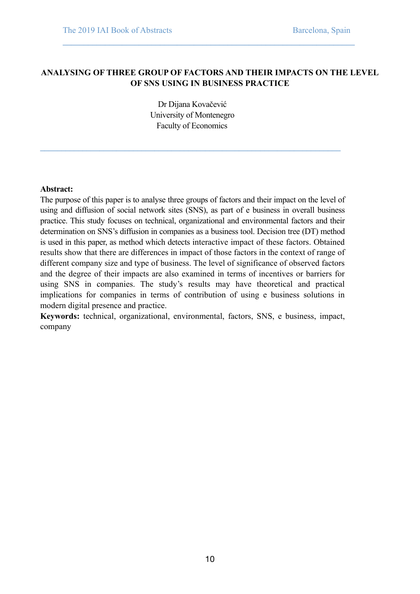# **ANALYSING OF THREE GROUP OF FACTORS AND THEIR IMPACTS ON THE LEVEL OF SNS USING IN BUSINESS PRACTICE**

**\_\_\_\_\_\_\_\_\_\_\_\_\_\_\_\_\_\_\_\_\_\_\_\_\_\_\_\_\_\_\_\_\_\_\_\_\_\_\_\_\_\_\_\_\_\_\_\_\_\_\_\_\_\_\_\_\_\_\_\_\_\_\_\_\_\_\_\_\_** 

Dr Dijana Kovačević University of Montenegro Faculty of Economics

**\_\_\_\_\_\_\_\_\_\_\_\_\_\_\_\_\_\_\_\_\_\_\_\_\_\_\_\_\_\_\_\_\_\_\_\_\_\_\_\_\_\_\_\_\_\_\_\_\_\_\_\_\_\_\_\_\_\_\_\_\_\_\_\_\_\_\_\_\_\_\_** 

### **Abstract:**

The purpose of this paper is to analyse three groups of factors and their impact on the level of using and diffusion of social network sites (SNS), as part of e business in overall business practice. This study focuses on technical, organizational and environmental factors and their determination on SNS's diffusion in companies as a business tool. Decision tree (DT) method is used in this paper, as method which detects interactive impact of these factors. Obtained results show that there are differences in impact of those factors in the context of range of different company size and type of business. The level of significance of observed factors and the degree of their impacts are also examined in terms of incentives or barriers for using SNS in companies. The study's results may have theoretical and practical implications for companies in terms of contribution of using e business solutions in modern digital presence and practice.

**Keywords:** technical, organizational, environmental, factors, SNS, e business, impact, company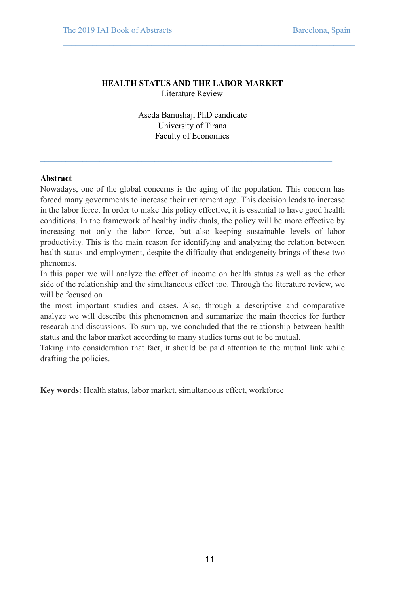# **HEALTH STATUS AND THE LABOR MARKET**  Literature Review

**\_\_\_\_\_\_\_\_\_\_\_\_\_\_\_\_\_\_\_\_\_\_\_\_\_\_\_\_\_\_\_\_\_\_\_\_\_\_\_\_\_\_\_\_\_\_\_\_\_\_\_\_\_\_\_\_\_\_\_\_\_\_\_\_\_\_\_\_\_** 

Aseda Banushaj, PhD candidate University of Tirana Faculty of Economics

**\_\_\_\_\_\_\_\_\_\_\_\_\_\_\_\_\_\_\_\_\_\_\_\_\_\_\_\_\_\_\_\_\_\_\_\_\_\_\_\_\_\_\_\_\_\_\_\_\_\_\_\_\_\_\_\_\_\_\_\_\_\_\_\_\_\_\_\_\_** 

# **Abstract**

Nowadays, one of the global concerns is the aging of the population. This concern has forced many governments to increase their retirement age. This decision leads to increase in the labor force. In order to make this policy effective, it is essential to have good health conditions. In the framework of healthy individuals, the policy will be more effective by increasing not only the labor force, but also keeping sustainable levels of labor productivity. This is the main reason for identifying and analyzing the relation between health status and employment, despite the difficulty that endogeneity brings of these two phenomes.

In this paper we will analyze the effect of income on health status as well as the other side of the relationship and the simultaneous effect too. Through the literature review, we will be focused on

the most important studies and cases. Also, through a descriptive and comparative analyze we will describe this phenomenon and summarize the main theories for further research and discussions. To sum up, we concluded that the relationship between health status and the labor market according to many studies turns out to be mutual.

Taking into consideration that fact, it should be paid attention to the mutual link while drafting the policies.

**Key words**: Health status, labor market, simultaneous effect, workforce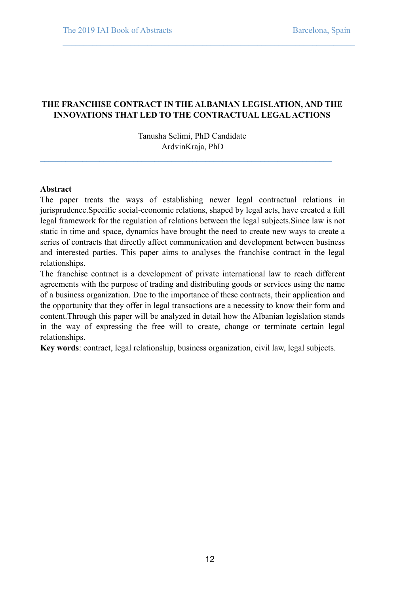# **THE FRANCHISE CONTRACT IN THE ALBANIAN LEGISLATION, AND THE INNOVATIONS THAT LED TO THE CONTRACTUAL LEGAL ACTIONS**

**\_\_\_\_\_\_\_\_\_\_\_\_\_\_\_\_\_\_\_\_\_\_\_\_\_\_\_\_\_\_\_\_\_\_\_\_\_\_\_\_\_\_\_\_\_\_\_\_\_\_\_\_\_\_\_\_\_\_\_\_\_\_\_\_\_\_\_\_\_** 

Tanusha Selimi, PhD Candidate ArdvinKraja, PhD

**\_\_\_\_\_\_\_\_\_\_\_\_\_\_\_\_\_\_\_\_\_\_\_\_\_\_\_\_\_\_\_\_\_\_\_\_\_\_\_\_\_\_\_\_\_\_\_\_\_\_\_\_\_\_\_\_\_\_\_\_\_\_\_\_\_\_\_\_\_** 

### **Abstract**

The paper treats the ways of establishing newer legal contractual relations in jurisprudence.Specific social-economic relations, shaped by legal acts, have created a full legal framework for the regulation of relations between the legal subjects.Since law is not static in time and space, dynamics have brought the need to create new ways to create a series of contracts that directly affect communication and development between business and interested parties. This paper aims to analyses the franchise contract in the legal relationships.

The franchise contract is a development of private international law to reach different agreements with the purpose of trading and distributing goods or services using the name of a business organization. Due to the importance of these contracts, their application and the opportunity that they offer in legal transactions are a necessity to know their form and content.Through this paper will be analyzed in detail how the Albanian legislation stands in the way of expressing the free will to create, change or terminate certain legal relationships.

**Key words**: contract, legal relationship, business organization, civil law, legal subjects.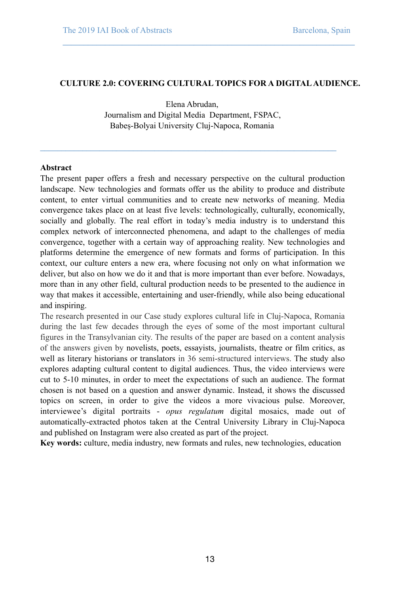#### **CULTURE 2.0: COVERING CULTURAL TOPICS FOR A DIGITAL AUDIENCE.**

**\_\_\_\_\_\_\_\_\_\_\_\_\_\_\_\_\_\_\_\_\_\_\_\_\_\_\_\_\_\_\_\_\_\_\_\_\_\_\_\_\_\_\_\_\_\_\_\_\_\_\_\_\_\_\_\_\_\_\_\_\_\_\_\_\_\_\_\_\_** 

Elena Abrudan, Journalism and Digital Media Department, FSPAC, Babeș-Bolyai University Cluj-Napoca, Romania

**\_\_\_\_\_\_\_\_\_\_\_\_\_\_\_\_\_\_\_\_\_\_\_\_\_\_\_\_\_\_\_\_\_\_\_\_\_\_\_\_\_\_\_\_\_\_\_\_\_\_\_\_\_\_\_\_\_\_\_\_\_\_\_\_\_\_\_\_\_\_** 

#### **Abstract**

The present paper offers a fresh and necessary perspective on the cultural production landscape. New technologies and formats offer us the ability to produce and distribute content, to enter virtual communities and to create new networks of meaning. Media convergence takes place on at least five levels: technologically, culturally, economically, socially and globally. The real effort in today's media industry is to understand this complex network of interconnected phenomena, and adapt to the challenges of media convergence, together with a certain way of approaching reality. New technologies and platforms determine the emergence of new formats and forms of participation. In this context, our culture enters a new era, where focusing not only on what information we deliver, but also on how we do it and that is more important than ever before. Nowadays, more than in any other field, cultural production needs to be presented to the audience in way that makes it accessible, entertaining and user-friendly, while also being educational and inspiring.

The research presented in our Case study explores cultural life in Cluj-Napoca, Romania during the last few decades through the eyes of some of the most important cultural figures in the Transylvanian city. The results of the paper are based on a content analysis of the answers given by novelists, poets, essayists, journalists, theatre or film critics, as well as literary historians or translators in 36 semi-structured interviews. The study also explores adapting cultural content to digital audiences. Thus, the video interviews were cut to 5-10 minutes, in order to meet the expectations of such an audience. The format chosen is not based on a question and answer dynamic. Instead, it shows the discussed topics on screen, in order to give the videos a more vivacious pulse. Moreover, interviewee's digital portraits - *opus regulatum* digital mosaics, made out of automatically-extracted photos taken at the Central University Library in Cluj-Napoca and published on Instagram were also created as part of the project.

**Key words:** culture, media industry, new formats and rules, new technologies, education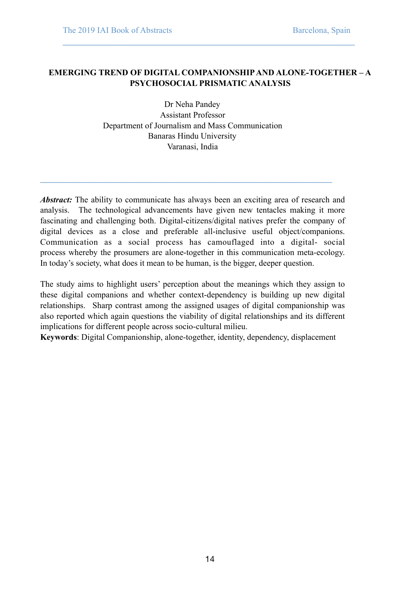# **EMERGING TREND OF DIGITAL COMPANIONSHIP AND ALONE-TOGETHER – A PSYCHOSOCIAL PRISMATIC ANALYSIS**

**\_\_\_\_\_\_\_\_\_\_\_\_\_\_\_\_\_\_\_\_\_\_\_\_\_\_\_\_\_\_\_\_\_\_\_\_\_\_\_\_\_\_\_\_\_\_\_\_\_\_\_\_\_\_\_\_\_\_\_\_\_\_\_\_\_\_\_\_\_** 

Dr Neha Pandey Assistant Professor Department of Journalism and Mass Communication Banaras Hindu University Varanasi, India

**\_\_\_\_\_\_\_\_\_\_\_\_\_\_\_\_\_\_\_\_\_\_\_\_\_\_\_\_\_\_\_\_\_\_\_\_\_\_\_\_\_\_\_\_\_\_\_\_\_\_\_\_\_\_\_\_\_\_\_\_\_\_\_\_\_\_\_\_\_** 

*Abstract:* The ability to communicate has always been an exciting area of research and analysis. The technological advancements have given new tentacles making it more fascinating and challenging both. Digital-citizens/digital natives prefer the company of digital devices as a close and preferable all-inclusive useful object/companions. Communication as a social process has camouflaged into a digital- social process whereby the prosumers are alone-together in this communication meta-ecology. In today's society, what does it mean to be human, is the bigger, deeper question.

The study aims to highlight users' perception about the meanings which they assign to these digital companions and whether context-dependency is building up new digital relationships. Sharp contrast among the assigned usages of digital companionship was also reported which again questions the viability of digital relationships and its different implications for different people across socio-cultural milieu.

**Keywords**: Digital Companionship, alone-together, identity, dependency, displacement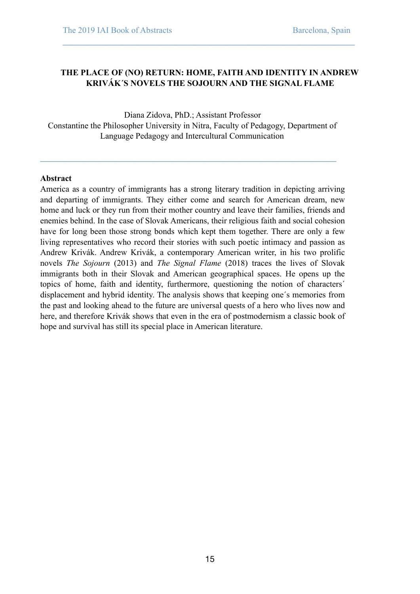# **THE PLACE OF (NO) RETURN: HOME, FAITH AND IDENTITY IN ANDREW KRIVÁK´S NOVELS THE SOJOURN AND THE SIGNAL FLAME**

**\_\_\_\_\_\_\_\_\_\_\_\_\_\_\_\_\_\_\_\_\_\_\_\_\_\_\_\_\_\_\_\_\_\_\_\_\_\_\_\_\_\_\_\_\_\_\_\_\_\_\_\_\_\_\_\_\_\_\_\_\_\_\_\_\_\_\_\_\_** 

Diana Zidova, PhD.; Assistant Professor Constantine the Philosopher University in Nitra, Faculty of Pedagogy, Department of Language Pedagogy and Intercultural Communication

**\_\_\_\_\_\_\_\_\_\_\_\_\_\_\_\_\_\_\_\_\_\_\_\_\_\_\_\_\_\_\_\_\_\_\_\_\_\_\_\_\_\_\_\_\_\_\_\_\_\_\_\_\_\_\_\_\_\_\_\_\_\_\_\_\_\_\_\_\_\_** 

### **Abstract**

America as a country of immigrants has a strong literary tradition in depicting arriving and departing of immigrants. They either come and search for American dream, new home and luck or they run from their mother country and leave their families, friends and enemies behind. In the case of Slovak Americans, their religious faith and social cohesion have for long been those strong bonds which kept them together. There are only a few living representatives who record their stories with such poetic intimacy and passion as Andrew Krivák. Andrew Krivák, a contemporary American writer, in his two prolific novels *The Sojourn* (2013) and *The Signal Flame* (2018) traces the lives of Slovak immigrants both in their Slovak and American geographical spaces. He opens up the topics of home, faith and identity, furthermore, questioning the notion of characters´ displacement and hybrid identity. The analysis shows that keeping one´s memories from the past and looking ahead to the future are universal quests of a hero who lives now and here, and therefore Krivák shows that even in the era of postmodernism a classic book of hope and survival has still its special place in American literature.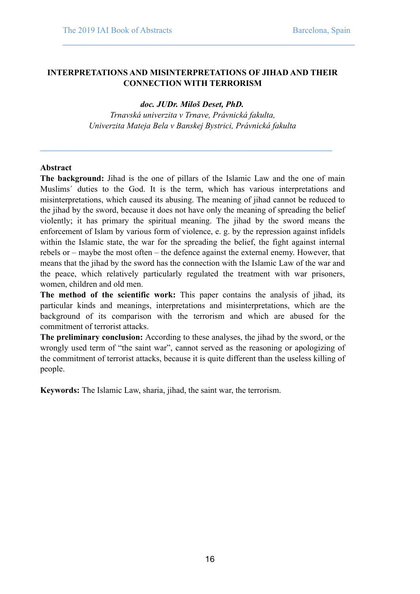# **INTERPRETATIONS AND MISINTERPRETATIONS OF JIHAD AND THEIR CONNECTION WITH TERRORISM**

**\_\_\_\_\_\_\_\_\_\_\_\_\_\_\_\_\_\_\_\_\_\_\_\_\_\_\_\_\_\_\_\_\_\_\_\_\_\_\_\_\_\_\_\_\_\_\_\_\_\_\_\_\_\_\_\_\_\_\_\_\_\_\_\_\_\_\_\_\_** 

### *doc. JUDr. Miloš Deset, PhD.*

*Trnavská univerzita v Trnave, Právnická fakulta, Univerzita Mateja Bela v Banskej Bystrici, Právnická fakulta* 

**\_\_\_\_\_\_\_\_\_\_\_\_\_\_\_\_\_\_\_\_\_\_\_\_\_\_\_\_\_\_\_\_\_\_\_\_\_\_\_\_\_\_\_\_\_\_\_\_\_\_\_\_\_\_\_\_\_\_\_\_\_\_\_\_\_\_\_\_\_** 

#### **Abstract**

**The background:** Jihad is the one of pillars of the Islamic Law and the one of main Muslims´ duties to the God. It is the term, which has various interpretations and misinterpretations, which caused its abusing. The meaning of jihad cannot be reduced to the jihad by the sword, because it does not have only the meaning of spreading the belief violently; it has primary the spiritual meaning. The jihad by the sword means the enforcement of Islam by various form of violence, e. g. by the repression against infidels within the Islamic state, the war for the spreading the belief, the fight against internal rebels or – maybe the most often – the defence against the external enemy. However, that means that the jihad by the sword has the connection with the Islamic Law of the war and the peace, which relatively particularly regulated the treatment with war prisoners, women, children and old men.

**The method of the scientific work:** This paper contains the analysis of jihad, its particular kinds and meanings, interpretations and misinterpretations, which are the background of its comparison with the terrorism and which are abused for the commitment of terrorist attacks.

**The preliminary conclusion:** According to these analyses, the jihad by the sword, or the wrongly used term of "the saint war", cannot served as the reasoning or apologizing of the commitment of terrorist attacks, because it is quite different than the useless killing of people.

**Keywords:** The Islamic Law, sharia, jihad, the saint war, the terrorism.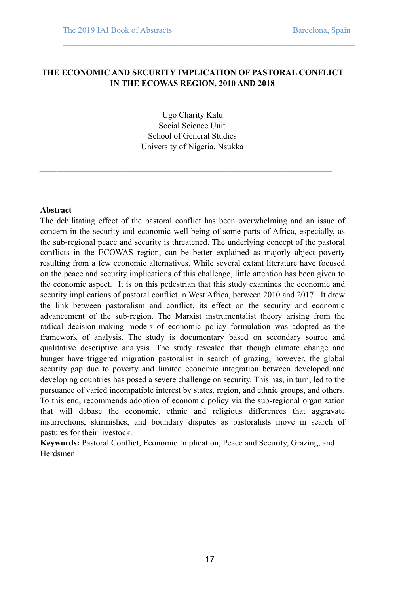# **THE ECONOMIC AND SECURITY IMPLICATION OF PASTORAL CONFLICT IN THE ECOWAS REGION, 2010 AND 2018**

**\_\_\_\_\_\_\_\_\_\_\_\_\_\_\_\_\_\_\_\_\_\_\_\_\_\_\_\_\_\_\_\_\_\_\_\_\_\_\_\_\_\_\_\_\_\_\_\_\_\_\_\_\_\_\_\_\_\_\_\_\_\_\_\_\_\_\_\_\_** 

Ugo Charity Kalu Social Science Unit School of General Studies University of Nigeria, Nsukka

*\_\_\_\_***\_\_\_\_\_\_\_\_\_\_\_\_\_\_\_\_\_\_\_\_\_\_\_\_\_\_\_\_\_\_\_\_\_\_\_\_\_\_\_\_\_\_\_\_\_\_\_\_\_\_\_\_\_\_\_\_\_\_\_\_\_\_\_\_\_** 

#### **Abstract**

The debilitating effect of the pastoral conflict has been overwhelming and an issue of concern in the security and economic well-being of some parts of Africa, especially, as the sub-regional peace and security is threatened. The underlying concept of the pastoral conflicts in the ECOWAS region, can be better explained as majorly abject poverty resulting from a few economic alternatives. While several extant literature have focused on the peace and security implications of this challenge, little attention has been given to the economic aspect. It is on this pedestrian that this study examines the economic and security implications of pastoral conflict in West Africa, between 2010 and 2017. It drew the link between pastoralism and conflict, its effect on the security and economic advancement of the sub-region. The Marxist instrumentalist theory arising from the radical decision-making models of economic policy formulation was adopted as the framework of analysis. The study is documentary based on secondary source and qualitative descriptive analysis. The study revealed that though climate change and hunger have triggered migration pastoralist in search of grazing, however, the global security gap due to poverty and limited economic integration between developed and developing countries has posed a severe challenge on security. This has, in turn, led to the pursuance of varied incompatible interest by states, region, and ethnic groups, and others. To this end, recommends adoption of economic policy via the sub-regional organization that will debase the economic, ethnic and religious differences that aggravate insurrections, skirmishes, and boundary disputes as pastoralists move in search of pastures for their livestock.

**Keywords:** Pastoral Conflict, Economic Implication, Peace and Security, Grazing, and Herdsmen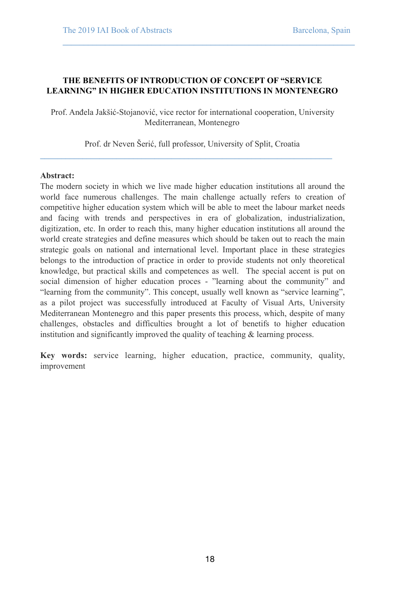# **THE BENEFITS OF INTRODUCTION OF CONCEPT OF "SERVICE LEARNING" IN HIGHER EDUCATION INSTITUTIONS IN MONTENEGRO**

**\_\_\_\_\_\_\_\_\_\_\_\_\_\_\_\_\_\_\_\_\_\_\_\_\_\_\_\_\_\_\_\_\_\_\_\_\_\_\_\_\_\_\_\_\_\_\_\_\_\_\_\_\_\_\_\_\_\_\_\_\_\_\_\_\_\_\_\_\_** 

Prof. Anđela Jakšić-Stojanović, vice rector for international cooperation, University Mediterranean, Montenegro

Prof. dr Neven Šerić, full professor, University of Split, Croatia

**\_\_\_\_\_\_\_\_\_\_\_\_\_\_\_\_\_\_\_\_\_\_\_\_\_\_\_\_\_\_\_\_\_\_\_\_\_\_\_\_\_\_\_\_\_\_\_\_\_\_\_\_\_\_\_\_\_\_\_\_\_\_\_\_\_\_\_\_\_** 

### **Abstract:**

The modern society in which we live made higher education institutions all around the world face numerous challenges. The main challenge actually refers to creation of competitive higher education system which will be able to meet the labour market needs and facing with trends and perspectives in era of globalization, industrialization, digitization, etc. In order to reach this, many higher education institutions all around the world create strategies and define measures which should be taken out to reach the main strategic goals on national and international level. Important place in these strategies belongs to the introduction of practice in order to provide students not only theoretical knowledge, but practical skills and competences as well. The special accent is put on social dimension of higher education proces - "learning about the community" and "learning from the community". This concept, usually well known as "service learning", as a pilot project was successfully introduced at Faculty of Visual Arts, University Mediterranean Montenegro and this paper presents this process, which, despite of many challenges, obstacles and difficulties brought a lot of benetifs to higher education institution and significantly improved the quality of teaching & learning process.

**Key words:** service learning, higher education, practice, community, quality, improvement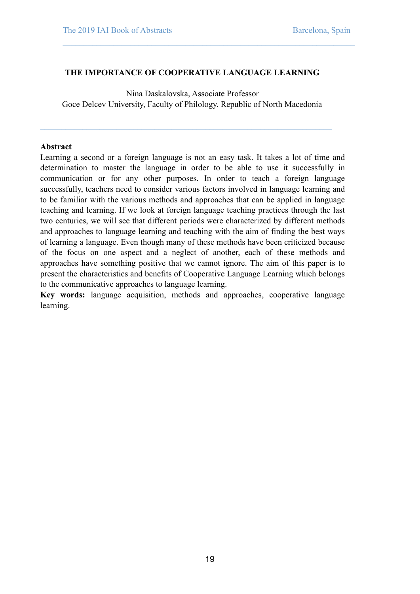# **THE IMPORTANCE OF COOPERATIVE LANGUAGE LEARNING**

**\_\_\_\_\_\_\_\_\_\_\_\_\_\_\_\_\_\_\_\_\_\_\_\_\_\_\_\_\_\_\_\_\_\_\_\_\_\_\_\_\_\_\_\_\_\_\_\_\_\_\_\_\_\_\_\_\_\_\_\_\_\_\_\_\_\_\_\_\_** 

Nina Daskalovska, Associate Professor Goce Delcev University, Faculty of Philology, Republic of North Macedonia

**\_\_\_\_\_\_\_\_\_\_\_\_\_\_\_\_\_\_\_\_\_\_\_\_\_\_\_\_\_\_\_\_\_\_\_\_\_\_\_\_\_\_\_\_\_\_\_\_\_\_\_\_\_\_\_\_\_\_\_\_\_\_\_\_\_\_\_\_\_** 

### **Abstract**

Learning a second or a foreign language is not an easy task. It takes a lot of time and determination to master the language in order to be able to use it successfully in communication or for any other purposes. In order to teach a foreign language successfully, teachers need to consider various factors involved in language learning and to be familiar with the various methods and approaches that can be applied in language teaching and learning. If we look at foreign language teaching practices through the last two centuries, we will see that different periods were characterized by different methods and approaches to language learning and teaching with the aim of finding the best ways of learning a language. Even though many of these methods have been criticized because of the focus on one aspect and a neglect of another, each of these methods and approaches have something positive that we cannot ignore. The aim of this paper is to present the characteristics and benefits of Cooperative Language Learning which belongs to the communicative approaches to language learning.

**Key words:** language acquisition, methods and approaches, cooperative language learning.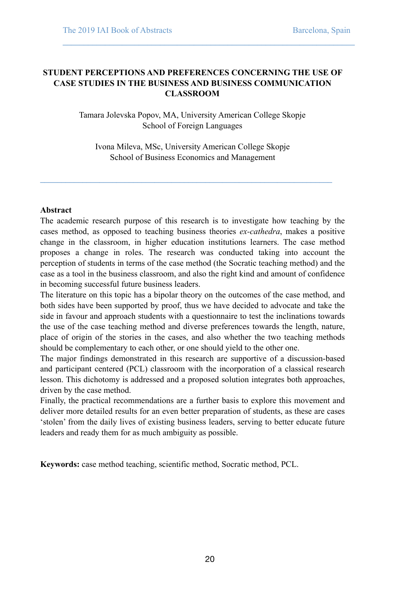# **STUDENT PERCEPTIONS AND PREFERENCES CONCERNING THE USE OF CASE STUDIES IN THE BUSINESS AND BUSINESS COMMUNICATION CLASSROOM**

**\_\_\_\_\_\_\_\_\_\_\_\_\_\_\_\_\_\_\_\_\_\_\_\_\_\_\_\_\_\_\_\_\_\_\_\_\_\_\_\_\_\_\_\_\_\_\_\_\_\_\_\_\_\_\_\_\_\_\_\_\_\_\_\_\_\_\_\_\_** 

Tamara Jolevska Popov, MA, University American College Skopje School of Foreign Languages

Ivona Mileva, MSc, University American College Skopje School of Business Economics and Management

**\_\_\_\_\_\_\_\_\_\_\_\_\_\_\_\_\_\_\_\_\_\_\_\_\_\_\_\_\_\_\_\_\_\_\_\_\_\_\_\_\_\_\_\_\_\_\_\_\_\_\_\_\_\_\_\_\_\_\_\_\_\_\_\_\_\_\_\_\_** 

# **Abstract**

The academic research purpose of this research is to investigate how teaching by the cases method, as opposed to teaching business theories *ex-cathedra*, makes a positive change in the classroom, in higher education institutions learners. The case method proposes a change in roles. The research was conducted taking into account the perception of students in terms of the case method (the Socratic teaching method) and the case as a tool in the business classroom, and also the right kind and amount of confidence in becoming successful future business leaders.

The literature on this topic has a bipolar theory on the outcomes of the case method, and both sides have been supported by proof, thus we have decided to advocate and take the side in favour and approach students with a questionnaire to test the inclinations towards the use of the case teaching method and diverse preferences towards the length, nature, place of origin of the stories in the cases, and also whether the two teaching methods should be complementary to each other, or one should yield to the other one.

The major findings demonstrated in this research are supportive of a discussion-based and participant centered (PCL) classroom with the incorporation of a classical research lesson. This dichotomy is addressed and a proposed solution integrates both approaches, driven by the case method.

Finally, the practical recommendations are a further basis to explore this movement and deliver more detailed results for an even better preparation of students, as these are cases 'stolen' from the daily lives of existing business leaders, serving to better educate future leaders and ready them for as much ambiguity as possible.

**Keywords:** case method teaching, scientific method, Socratic method, PCL.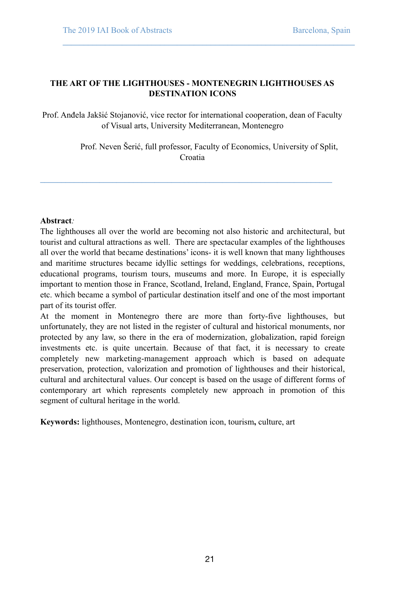# **THE ART OF THE LIGHTHOUSES - MONTENEGRIN LIGHTHOUSES AS DESTINATION ICONS**

Prof. Anđela Jakšić Stojanović, vice rector for international cooperation, dean of Faculty of Visual arts, University Mediterranean, Montenegro

**\_\_\_\_\_\_\_\_\_\_\_\_\_\_\_\_\_\_\_\_\_\_\_\_\_\_\_\_\_\_\_\_\_\_\_\_\_\_\_\_\_\_\_\_\_\_\_\_\_\_\_\_\_\_\_\_\_\_\_\_\_\_\_\_\_\_\_\_\_** 

 Prof. Neven Šerić, full professor, Faculty of Economics, University of Split, Croatia

**\_\_\_\_\_\_\_\_\_\_\_\_\_\_\_\_\_\_\_\_\_\_\_\_\_\_\_\_\_\_\_\_\_\_\_\_\_\_\_\_\_\_\_\_\_\_\_\_\_\_\_\_\_\_\_\_\_\_\_\_\_\_\_\_\_\_\_\_\_** 

# **Abstract***:*

The lighthouses all over the world are becoming not also historic and architectural, but tourist and cultural attractions as well. There are spectacular examples of the lighthouses all over the world that became destinations' icons- it is well known that many lighthouses and maritime structures became idyllic settings for weddings, celebrations, receptions, educational programs, tourism tours, museums and more. In Europe, it is especially important to mention those in France, Scotland, Ireland, England, France, Spain, Portugal etc. which became a symbol of particular destination itself and one of the most important part of its tourist offer.

At the moment in Montenegro there are more than forty-five lighthouses, but unfortunately, they are not listed in the register of cultural and historical monuments, nor protected by any law, so there in the era of modernization, globalization, rapid foreign investments etc. is quite uncertain. Because of that fact, it is necessary to create completely new marketing-management approach which is based on adequate preservation, protection, valorization and promotion of lighthouses and their historical, cultural and architectural values. Our concept is based on the usage of different forms of contemporary art which represents completely new approach in promotion of this segment of cultural heritage in the world.

**Keywords:** lighthouses, Montenegro, destination icon, tourism**,** culture, art